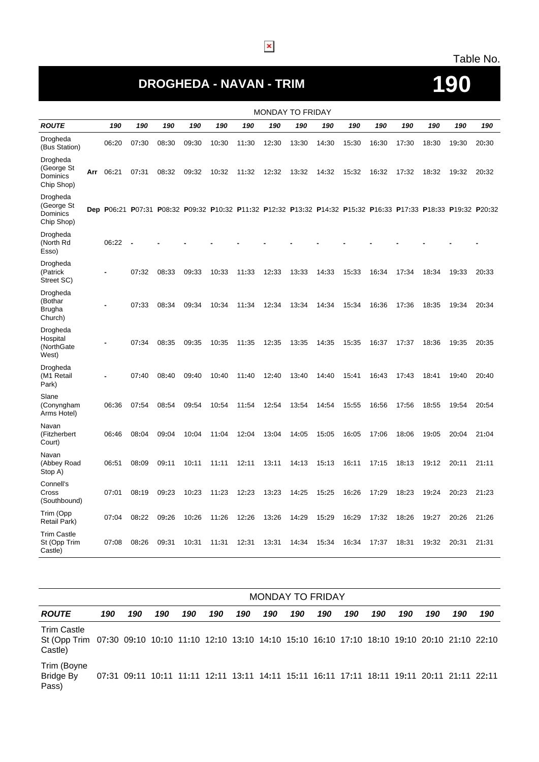#### Table No.

## **DROGHEDA - NAVAN - TRIM 190**

#### MONDAY TO FRIDAY **ROUTE 190 190 190 190 190 190 190 190 190 190 190 190 190 190 190** Drogheda<br>(Bus Station) (Bus Station) <sup>06</sup>**:**<sup>20</sup> <sup>07</sup>**:**<sup>30</sup> <sup>08</sup>**:**<sup>30</sup> <sup>09</sup>**:**<sup>30</sup> <sup>10</sup>**:**<sup>30</sup> <sup>11</sup>**:**<sup>30</sup> <sup>12</sup>**:**<sup>30</sup> <sup>13</sup>**:**<sup>30</sup> <sup>14</sup>**:**<sup>30</sup> <sup>15</sup>**:**<sup>30</sup> <sup>16</sup>**:**<sup>30</sup> <sup>17</sup>**:**<sup>30</sup> <sup>18</sup>**:**<sup>30</sup> <sup>19</sup>**:**<sup>30</sup> <sup>20</sup>**:**<sup>30</sup> Drogheda (George St Dominics Chip Shop) **Arr** 06**:**21 07**:**31 08**:**32 09**:**32 10**:**32 11**:**32 12**:**32 13**:**32 14**:**32 15**:**32 16**:**32 17**:**32 18**:**32 19**:**32 20**:**32 Drogheda (George St **Dominics** Chip Shop) Dep P06:21 P07:31 P08:32 P09:32 P10:32 P11:32 P12:32 P13:32 P14:32 P14:32 P15:32 P16:33 P17:33 P18:33 P19:32 P20:32 Drogheda (North Rd Esso) 06**:**22 **- - - - - - - - - - - - - -** Drogheda (Patrick Street SC) **-** 07**:**32 08**:**33 09**:**33 10**:**33 11**:**33 12**:**33 13**:**33 14**:**33 15**:**33 16**:**34 17**:**34 18**:**34 19**:**33 20**:**33 Drogheda (Bothar Brugha Church) **-** 07**:**33 08**:**34 09**:**34 10**:**34 11**:**34 12**:**34 13**:**34 14**:**34 15**:**34 16**:**36 17**:**36 18**:**35 19**:**34 20**:**34 Drogheda Hospital (NorthGate West) **-** 07**:**34 08**:**35 09**:**35 10**:**35 11**:**35 12**:**35 13**:**35 14**:**35 15**:**35 16**:**37 17**:**37 18**:**36 19**:**35 20**:**35 Drogheda (M1 Retail Park) **-** 07**:**40 08**:**40 09**:**40 10**:**40 11**:**40 12**:**40 13**:**40 14**:**40 15**:**41 16**:**43 17**:**43 18**:**41 19**:**40 20**:**40 Slane (Conyngham Arms Hotel) 06**:**36 07**:**54 08**:**54 09**:**54 10**:**54 11**:**54 12**:**54 13**:**54 14**:**54 15**:**55 16**:**56 17**:**56 18**:**55 19**:**54 20**:**54 Navan (Fitzherbert Court) 06**:**46 08**:**04 09**:**04 10**:**04 11**:**04 12**:**04 13**:**04 14**:**05 15**:**05 16**:**05 17**:**06 18**:**06 19**:**05 20**:**04 21**:**04 Navan (Abbey Road Stop A) 06**:**51 08**:**09 09**:**11 10**:**11 11**:**11 12**:**11 13**:**11 14**:**13 15**:**13 16**:**11 17**:**15 18**:**13 19**:**12 20**:**11 21**:**11 Connell's Cross (Southbound) 07**:**01 08**:**19 09**:**23 10**:**23 11**:**23 12**:**23 13**:**23 14**:**25 15**:**25 16**:**26 17**:**29 18**:**23 19**:**24 20**:**23 21**:**23 Trim (Opp Retail Park) <sup>07</sup>**:**<sup>04</sup> <sup>08</sup>**:**<sup>22</sup> <sup>09</sup>**:**<sup>26</sup> <sup>10</sup>**:**<sup>26</sup> <sup>11</sup>**:**<sup>26</sup> <sup>12</sup>**:**<sup>26</sup> <sup>13</sup>**:**<sup>26</sup> <sup>14</sup>**:**<sup>29</sup> <sup>15</sup>**:**<sup>29</sup> <sup>16</sup>**:**<sup>29</sup> <sup>17</sup>**:**<sup>32</sup> <sup>18</sup>**:**<sup>26</sup> <sup>19</sup>**:**<sup>27</sup> <sup>20</sup>**:**<sup>26</sup> <sup>21</sup>**:**<sup>26</sup> Trim Castle St (Opp Trim Castle) 07**:**08 08**:**26 09**:**31 10**:**31 11**:**31 12**:**31 13**:**31 14**:**34 15**:**34 16**:**34 17**:**37 18**:**31 19**:**32 20**:**31 21**:**31

|                                                                                                                                         | <b>MONDAY TO FRIDAY</b> |                                                                                           |     |     |     |     |     |     |     |     |     |     |     |     |     |
|-----------------------------------------------------------------------------------------------------------------------------------------|-------------------------|-------------------------------------------------------------------------------------------|-----|-----|-----|-----|-----|-----|-----|-----|-----|-----|-----|-----|-----|
| <b>ROUTE</b>                                                                                                                            | 190                     | 190                                                                                       | 190 | 190 | 190 | 190 | 190 | 190 | 190 | 190 | 190 | 190 | 190 | 190 | 190 |
| <b>Trim Castle</b><br>St (Opp Trim 07:30 09:10 10:10 11:10 12:10 13:10 14:10 15:10 16:10 17:10 18:10 19:10 20:10 21:10 22:10<br>Castle) |                         |                                                                                           |     |     |     |     |     |     |     |     |     |     |     |     |     |
| Trim (Boyne<br><b>Bridge By</b><br>Pass)                                                                                                |                         | 07:31 09:11 10:11 11:11 12:11 13:11 14:11 15:11 16:11 17:11 18:11 19:11 20:11 21:11 22:11 |     |     |     |     |     |     |     |     |     |     |     |     |     |